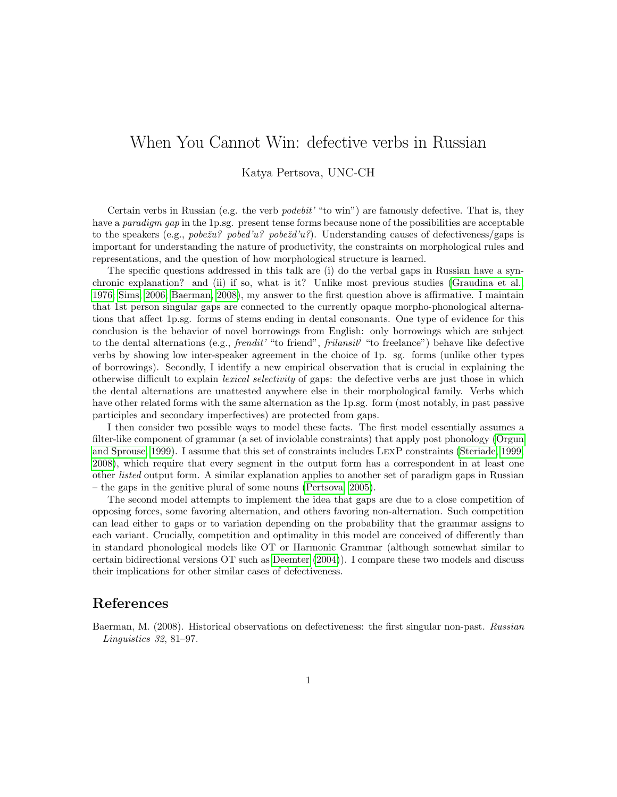## When You Cannot Win: defective verbs in Russian

## Katya Pertsova, UNC-CH

Certain verbs in Russian (e.g. the verb  $podebit'$  "to win") are famously defective. That is, they have a *paradigm gap* in the 1p.sg. present tense forms because none of the possibilities are acceptable to the speakers (e.g., pobe $\check{z}u$ ? pobe $\check{z}u$ ? pobe $\check{z}d'u$ ?). Understanding causes of defectiveness/gaps is important for understanding the nature of productivity, the constraints on morphological rules and representations, and the question of how morphological structure is learned.

The specific questions addressed in this talk are (i) do the verbal gaps in Russian have a synchronic explanation? and (ii) if so, what is it? Unlike most previous studies [\(Graudina et al.,](#page-1-0) [1976;](#page-1-0) [Sims, 2006;](#page-1-1) [Baerman, 2008\)](#page-0-0), my answer to the first question above is affirmative. I maintain that 1st person singular gaps are connected to the currently opaque morpho-phonological alternations that affect 1p.sg. forms of stems ending in dental consonants. One type of evidence for this conclusion is the behavior of novel borrowings from English: only borrowings which are subject to the dental alternations (e.g., *frendit'* "to friend", *frilansit<sup>j</sup>* "to freelance") behave like defective verbs by showing low inter-speaker agreement in the choice of 1p. sg. forms (unlike other types of borrowings). Secondly, I identify a new empirical observation that is crucial in explaining the otherwise difficult to explain lexical selectivity of gaps: the defective verbs are just those in which the dental alternations are unattested anywhere else in their morphological family. Verbs which have other related forms with the same alternation as the 1p.sg. form (most notably, in past passive participles and secondary imperfectives) are protected from gaps.

I then consider two possible ways to model these facts. The first model essentially assumes a filter-like component of grammar (a set of inviolable constraints) that apply post phonology [\(Orgun](#page-1-2) [and Sprouse, 1999\)](#page-1-2). I assume that this set of constraints includes LexP constraints [\(Steriade, 1999,](#page-1-3) [2008\)](#page-1-4), which require that every segment in the output form has a correspondent in at least one other listed output form. A similar explanation applies to another set of paradigm gaps in Russian – the gaps in the genitive plural of some nouns [\(Pertsova, 2005\)](#page-1-5).

The second model attempts to implement the idea that gaps are due to a close competition of opposing forces, some favoring alternation, and others favoring non-alternation. Such competition can lead either to gaps or to variation depending on the probability that the grammar assigns to each variant. Crucially, competition and optimality in this model are conceived of differently than in standard phonological models like OT or Harmonic Grammar (although somewhat similar to certain bidirectional versions OT such as [Deemter](#page-1-6) [\(2004\)](#page-1-6)). I compare these two models and discuss their implications for other similar cases of defectiveness.

## References

<span id="page-0-0"></span>Baerman, M. (2008). Historical observations on defectiveness: the first singular non-past. Russian Linguistics 32, 81–97.